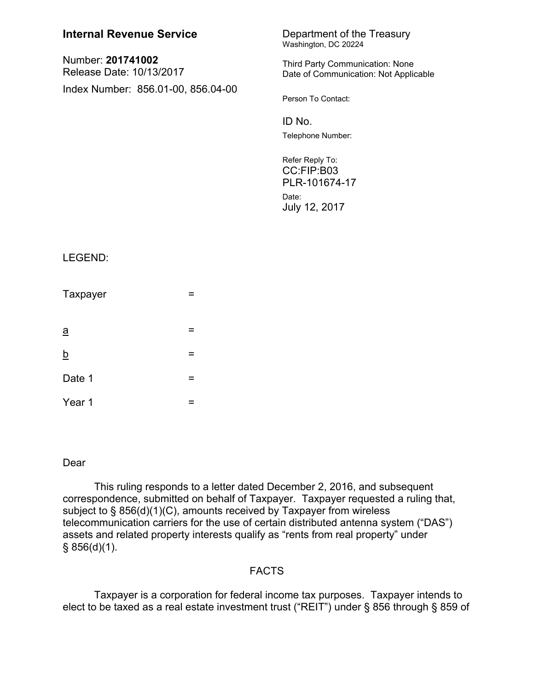| <b>Internal Revenue Service</b>               |   | Department of the Treasury<br>Washington, DC 20224                       |
|-----------------------------------------------|---|--------------------------------------------------------------------------|
| Number: 201741002<br>Release Date: 10/13/2017 |   | Third Party Communication: None<br>Date of Communication: Not Applicable |
| Index Number: 856.01-00, 856.04-00            |   | Person To Contact:                                                       |
|                                               |   | ID No.                                                                   |
|                                               |   | Telephone Number:                                                        |
|                                               |   | Refer Reply To:<br>CC:FIP:B03<br>PLR-101674-17                           |
|                                               |   | Date:<br>July 12, 2017                                                   |
|                                               |   |                                                                          |
| LEGEND:                                       |   |                                                                          |
| Taxpayer                                      | = |                                                                          |
| $\underline{a}$                               | = |                                                                          |
| <u>b</u>                                      | = |                                                                          |
| Date 1                                        | = |                                                                          |
| Year 1                                        | Ξ |                                                                          |

# Dear

This ruling responds to a letter dated December 2, 2016, and subsequent correspondence, submitted on behalf of Taxpayer. Taxpayer requested a ruling that, subject to § 856(d)(1)(C), amounts received by Taxpayer from wireless telecommunication carriers for the use of certain distributed antenna system ("DAS") assets and related property interests qualify as "rents from real property" under  $§ 856(d)(1).$ 

## FACTS

Taxpayer is a corporation for federal income tax purposes. Taxpayer intends to elect to be taxed as a real estate investment trust ("REIT") under § 856 through § 859 of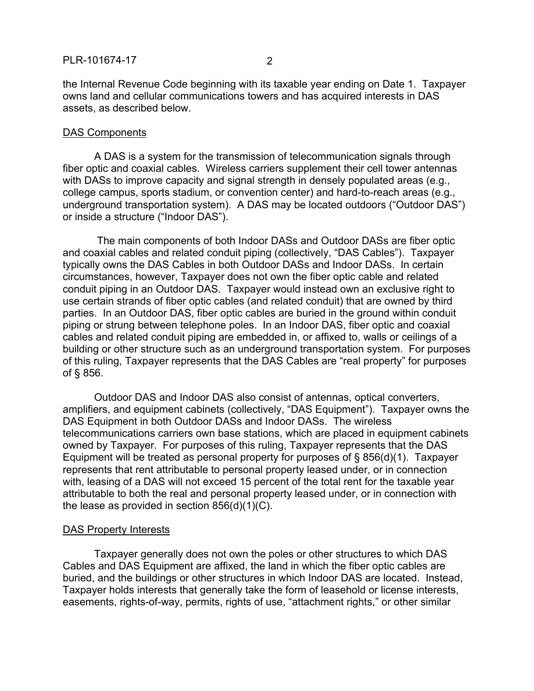the Internal Revenue Code beginning with its taxable year ending on Date 1. Taxpayer owns land and cellular communications towers and has acquired interests in DAS assets, as described below.

### DAS Components

A DAS is a system for the transmission of telecommunication signals through fiber optic and coaxial cables. Wireless carriers supplement their cell tower antennas with DASs to improve capacity and signal strength in densely populated areas (e.g., college campus, sports stadium, or convention center) and hard-to-reach areas (e.g., underground transportation system). A DAS may be located outdoors ("Outdoor DAS") or inside a structure ("Indoor DAS").

The main components of both Indoor DASs and Outdoor DASs are fiber optic and coaxial cables and related conduit piping (collectively, "DAS Cables"). Taxpayer typically owns the DAS Cables in both Outdoor DASs and Indoor DASs. In certain circumstances, however, Taxpayer does not own the fiber optic cable and related conduit piping in an Outdoor DAS. Taxpayer would instead own an exclusive right to use certain strands of fiber optic cables (and related conduit) that are owned by third parties. In an Outdoor DAS, fiber optic cables are buried in the ground within conduit piping or strung between telephone poles. In an Indoor DAS, fiber optic and coaxial cables and related conduit piping are embedded in, or affixed to, walls or ceilings of a building or other structure such as an underground transportation system. For purposes of this ruling, Taxpayer represents that the DAS Cables are "real property" for purposes of § 856.

Outdoor DAS and Indoor DAS also consist of antennas, optical converters, amplifiers, and equipment cabinets (collectively, "DAS Equipment"). Taxpayer owns the DAS Equipment in both Outdoor DASs and Indoor DASs. The wireless telecommunications carriers own base stations, which are placed in equipment cabinets owned by Taxpayer. For purposes of this ruling, Taxpayer represents that the DAS Equipment will be treated as personal property for purposes of § 856(d)(1). Taxpayer represents that rent attributable to personal property leased under, or in connection with, leasing of a DAS will not exceed 15 percent of the total rent for the taxable year attributable to both the real and personal property leased under, or in connection with the lease as provided in section 856(d)(1)(C).

### DAS Property Interests

Taxpayer generally does not own the poles or other structures to which DAS Cables and DAS Equipment are affixed, the land in which the fiber optic cables are buried, and the buildings or other structures in which Indoor DAS are located. Instead, Taxpayer holds interests that generally take the form of leasehold or license interests, easements, rights-of-way, permits, rights of use, "attachment rights," or other similar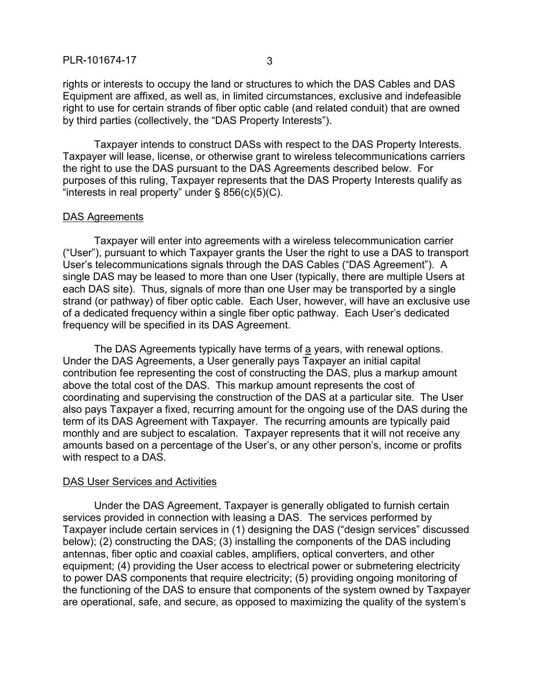rights or interests to occupy the land or structures to which the DAS Cables and DAS Equipment are affixed, as well as, in limited circumstances, exclusive and indefeasible right to use for certain strands of fiber optic cable (and related conduit) that are owned by third parties (collectively, the "DAS Property Interests").

Taxpayer intends to construct DASs with respect to the DAS Property Interests. Taxpayer will lease, license, or otherwise grant to wireless telecommunications carriers the right to use the DAS pursuant to the DAS Agreements described below. For purposes of this ruling, Taxpayer represents that the DAS Property Interests qualify as "interests in real property" under  $\S$  856(c)(5)(C).

#### DAS Agreements

Taxpayer will enter into agreements with a wireless telecommunication carrier ("User"), pursuant to which Taxpayer grants the User the right to use a DAS to transport User's telecommunications signals through the DAS Cables ("DAS Agreement"). A single DAS may be leased to more than one User (typically, there are multiple Users at each DAS site). Thus, signals of more than one User may be transported by a single strand (or pathway) of fiber optic cable. Each User, however, will have an exclusive use of a dedicated frequency within a single fiber optic pathway. Each User's dedicated frequency will be specified in its DAS Agreement.

The DAS Agreements typically have terms of a years, with renewal options. Under the DAS Agreements, a User generally pays Taxpayer an initial capital contribution fee representing the cost of constructing the DAS, plus a markup amount above the total cost of the DAS. This markup amount represents the cost of coordinating and supervising the construction of the DAS at a particular site. The User also pays Taxpayer a fixed, recurring amount for the ongoing use of the DAS during the term of its DAS Agreement with Taxpayer. The recurring amounts are typically paid monthly and are subject to escalation. Taxpayer represents that it will not receive any amounts based on a percentage of the User's, or any other person's, income or profits with respect to a DAS.

#### DAS User Services and Activities

Under the DAS Agreement, Taxpayer is generally obligated to furnish certain services provided in connection with leasing a DAS. The services performed by Taxpayer include certain services in (1) designing the DAS ("design services" discussed below); (2) constructing the DAS; (3) installing the components of the DAS including antennas, fiber optic and coaxial cables, amplifiers, optical converters, and other equipment; (4) providing the User access to electrical power or submetering electricity to power DAS components that require electricity; (5) providing ongoing monitoring of the functioning of the DAS to ensure that components of the system owned by Taxpayer are operational, safe, and secure, as opposed to maximizing the quality of the system's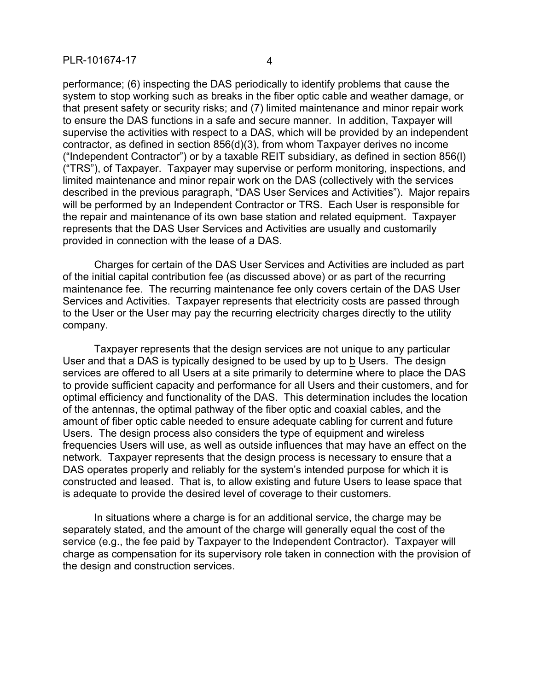performance; (6) inspecting the DAS periodically to identify problems that cause the system to stop working such as breaks in the fiber optic cable and weather damage, or that present safety or security risks; and (7) limited maintenance and minor repair work to ensure the DAS functions in a safe and secure manner. In addition, Taxpayer will supervise the activities with respect to a DAS, which will be provided by an independent contractor, as defined in section 856(d)(3), from whom Taxpayer derives no income ("Independent Contractor") or by a taxable REIT subsidiary, as defined in section 856(l) ("TRS"), of Taxpayer. Taxpayer may supervise or perform monitoring, inspections, and limited maintenance and minor repair work on the DAS (collectively with the services described in the previous paragraph, "DAS User Services and Activities"). Major repairs will be performed by an Independent Contractor or TRS. Each User is responsible for the repair and maintenance of its own base station and related equipment. Taxpayer represents that the DAS User Services and Activities are usually and customarily

Charges for certain of the DAS User Services and Activities are included as part of the initial capital contribution fee (as discussed above) or as part of the recurring maintenance fee. The recurring maintenance fee only covers certain of the DAS User Services and Activities. Taxpayer represents that electricity costs are passed through to the User or the User may pay the recurring electricity charges directly to the utility company.

provided in connection with the lease of a DAS.

Taxpayer represents that the design services are not unique to any particular User and that a DAS is typically designed to be used by up to b Users. The design services are offered to all Users at a site primarily to determine where to place the DAS to provide sufficient capacity and performance for all Users and their customers, and for optimal efficiency and functionality of the DAS. This determination includes the location of the antennas, the optimal pathway of the fiber optic and coaxial cables, and the amount of fiber optic cable needed to ensure adequate cabling for current and future Users. The design process also considers the type of equipment and wireless frequencies Users will use, as well as outside influences that may have an effect on the network. Taxpayer represents that the design process is necessary to ensure that a DAS operates properly and reliably for the system's intended purpose for which it is constructed and leased. That is, to allow existing and future Users to lease space that is adequate to provide the desired level of coverage to their customers.

In situations where a charge is for an additional service, the charge may be separately stated, and the amount of the charge will generally equal the cost of the service (e.g., the fee paid by Taxpayer to the Independent Contractor). Taxpayer will charge as compensation for its supervisory role taken in connection with the provision of the design and construction services.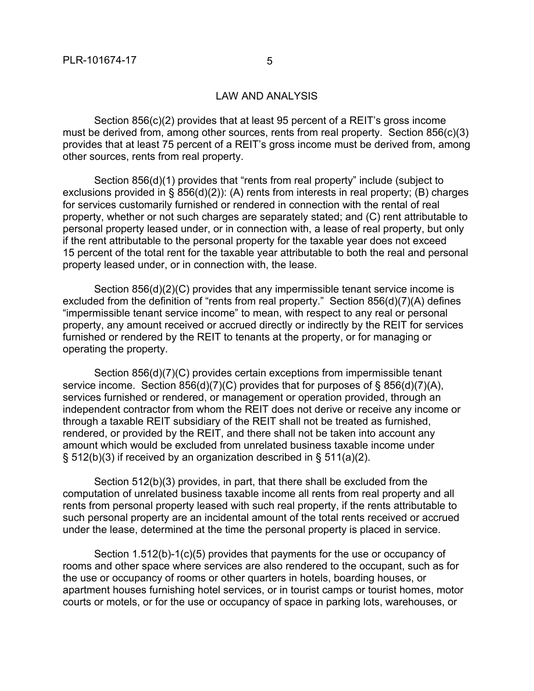## LAW AND ANALYSIS

Section 856(c)(2) provides that at least 95 percent of a REIT's gross income must be derived from, among other sources, rents from real property. Section 856(c)(3) provides that at least 75 percent of a REIT's gross income must be derived from, among other sources, rents from real property.

Section 856(d)(1) provides that "rents from real property" include (subject to exclusions provided in § 856(d)(2)): (A) rents from interests in real property; (B) charges for services customarily furnished or rendered in connection with the rental of real property, whether or not such charges are separately stated; and (C) rent attributable to personal property leased under, or in connection with, a lease of real property, but only if the rent attributable to the personal property for the taxable year does not exceed 15 percent of the total rent for the taxable year attributable to both the real and personal property leased under, or in connection with, the lease.

Section 856(d)(2)(C) provides that any impermissible tenant service income is excluded from the definition of "rents from real property." Section 856(d)(7)(A) defines "impermissible tenant service income" to mean, with respect to any real or personal property, any amount received or accrued directly or indirectly by the REIT for services furnished or rendered by the REIT to tenants at the property, or for managing or operating the property.

Section 856(d)(7)(C) provides certain exceptions from impermissible tenant service income. Section 856(d)(7)(C) provides that for purposes of § 856(d)(7)(A), services furnished or rendered, or management or operation provided, through an independent contractor from whom the REIT does not derive or receive any income or through a taxable REIT subsidiary of the REIT shall not be treated as furnished, rendered, or provided by the REIT, and there shall not be taken into account any amount which would be excluded from unrelated business taxable income under  $\S$  512(b)(3) if received by an organization described in  $\S$  511(a)(2).

Section 512(b)(3) provides, in part, that there shall be excluded from the computation of unrelated business taxable income all rents from real property and all rents from personal property leased with such real property, if the rents attributable to such personal property are an incidental amount of the total rents received or accrued under the lease, determined at the time the personal property is placed in service.

Section 1.512(b)-1(c)(5) provides that payments for the use or occupancy of rooms and other space where services are also rendered to the occupant, such as for the use or occupancy of rooms or other quarters in hotels, boarding houses, or apartment houses furnishing hotel services, or in tourist camps or tourist homes, motor courts or motels, or for the use or occupancy of space in parking lots, warehouses, or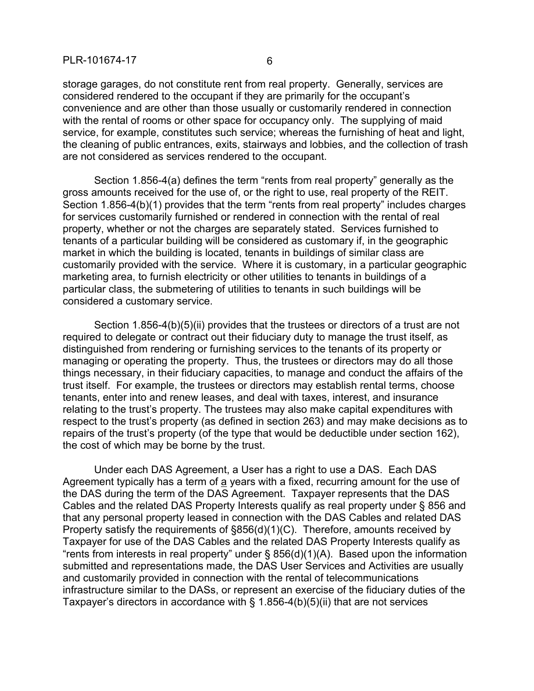storage garages, do not constitute rent from real property. Generally, services are considered rendered to the occupant if they are primarily for the occupant's convenience and are other than those usually or customarily rendered in connection with the rental of rooms or other space for occupancy only. The supplying of maid service, for example, constitutes such service; whereas the furnishing of heat and light, the cleaning of public entrances, exits, stairways and lobbies, and the collection of trash are not considered as services rendered to the occupant.

Section 1.856-4(a) defines the term "rents from real property" generally as the gross amounts received for the use of, or the right to use, real property of the REIT. Section 1.856-4(b)(1) provides that the term "rents from real property" includes charges for services customarily furnished or rendered in connection with the rental of real property, whether or not the charges are separately stated. Services furnished to tenants of a particular building will be considered as customary if, in the geographic market in which the building is located, tenants in buildings of similar class are customarily provided with the service. Where it is customary, in a particular geographic marketing area, to furnish electricity or other utilities to tenants in buildings of a particular class, the submetering of utilities to tenants in such buildings will be considered a customary service.

Section 1.856-4(b)(5)(ii) provides that the trustees or directors of a trust are not required to delegate or contract out their fiduciary duty to manage the trust itself, as distinguished from rendering or furnishing services to the tenants of its property or managing or operating the property. Thus, the trustees or directors may do all those things necessary, in their fiduciary capacities, to manage and conduct the affairs of the trust itself. For example, the trustees or directors may establish rental terms, choose tenants, enter into and renew leases, and deal with taxes, interest, and insurance relating to the trust's property. The trustees may also make capital expenditures with respect to the trust's property (as defined in section 263) and may make decisions as to repairs of the trust's property (of the type that would be deductible under section 162), the cost of which may be borne by the trust.

Under each DAS Agreement, a User has a right to use a DAS. Each DAS Agreement typically has a term of a years with a fixed, recurring amount for the use of the DAS during the term of the DAS Agreement. Taxpayer represents that the DAS Cables and the related DAS Property Interests qualify as real property under § 856 and that any personal property leased in connection with the DAS Cables and related DAS Property satisfy the requirements of §856(d)(1)(C). Therefore, amounts received by Taxpayer for use of the DAS Cables and the related DAS Property Interests qualify as "rents from interests in real property" under § 856(d)(1)(A). Based upon the information submitted and representations made, the DAS User Services and Activities are usually and customarily provided in connection with the rental of telecommunications infrastructure similar to the DASs, or represent an exercise of the fiduciary duties of the Taxpayer's directors in accordance with § 1.856-4(b)(5)(ii) that are not services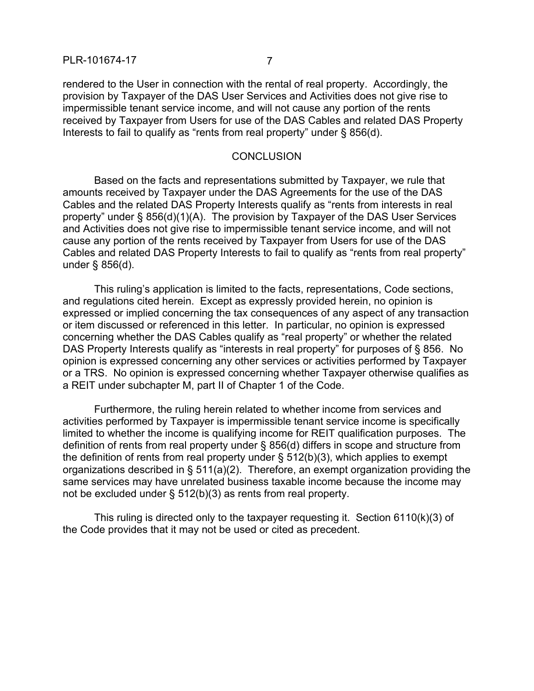rendered to the User in connection with the rental of real property. Accordingly, the provision by Taxpayer of the DAS User Services and Activities does not give rise to impermissible tenant service income, and will not cause any portion of the rents received by Taxpayer from Users for use of the DAS Cables and related DAS Property Interests to fail to qualify as "rents from real property" under § 856(d).

#### **CONCLUSION**

Based on the facts and representations submitted by Taxpayer, we rule that amounts received by Taxpayer under the DAS Agreements for the use of the DAS Cables and the related DAS Property Interests qualify as "rents from interests in real property" under § 856(d)(1)(A). The provision by Taxpayer of the DAS User Services and Activities does not give rise to impermissible tenant service income, and will not cause any portion of the rents received by Taxpayer from Users for use of the DAS Cables and related DAS Property Interests to fail to qualify as "rents from real property" under § 856(d).

This ruling's application is limited to the facts, representations, Code sections, and regulations cited herein. Except as expressly provided herein, no opinion is expressed or implied concerning the tax consequences of any aspect of any transaction or item discussed or referenced in this letter. In particular, no opinion is expressed concerning whether the DAS Cables qualify as "real property" or whether the related DAS Property Interests qualify as "interests in real property" for purposes of § 856. No opinion is expressed concerning any other services or activities performed by Taxpayer or a TRS. No opinion is expressed concerning whether Taxpayer otherwise qualifies as a REIT under subchapter M, part II of Chapter 1 of the Code.

Furthermore, the ruling herein related to whether income from services and activities performed by Taxpayer is impermissible tenant service income is specifically limited to whether the income is qualifying income for REIT qualification purposes. The definition of rents from real property under § 856(d) differs in scope and structure from the definition of rents from real property under  $\S 512(b)(3)$ , which applies to exempt organizations described in § 511(a)(2). Therefore, an exempt organization providing the same services may have unrelated business taxable income because the income may not be excluded under § 512(b)(3) as rents from real property.

This ruling is directed only to the taxpayer requesting it. Section 6110(k)(3) of the Code provides that it may not be used or cited as precedent.